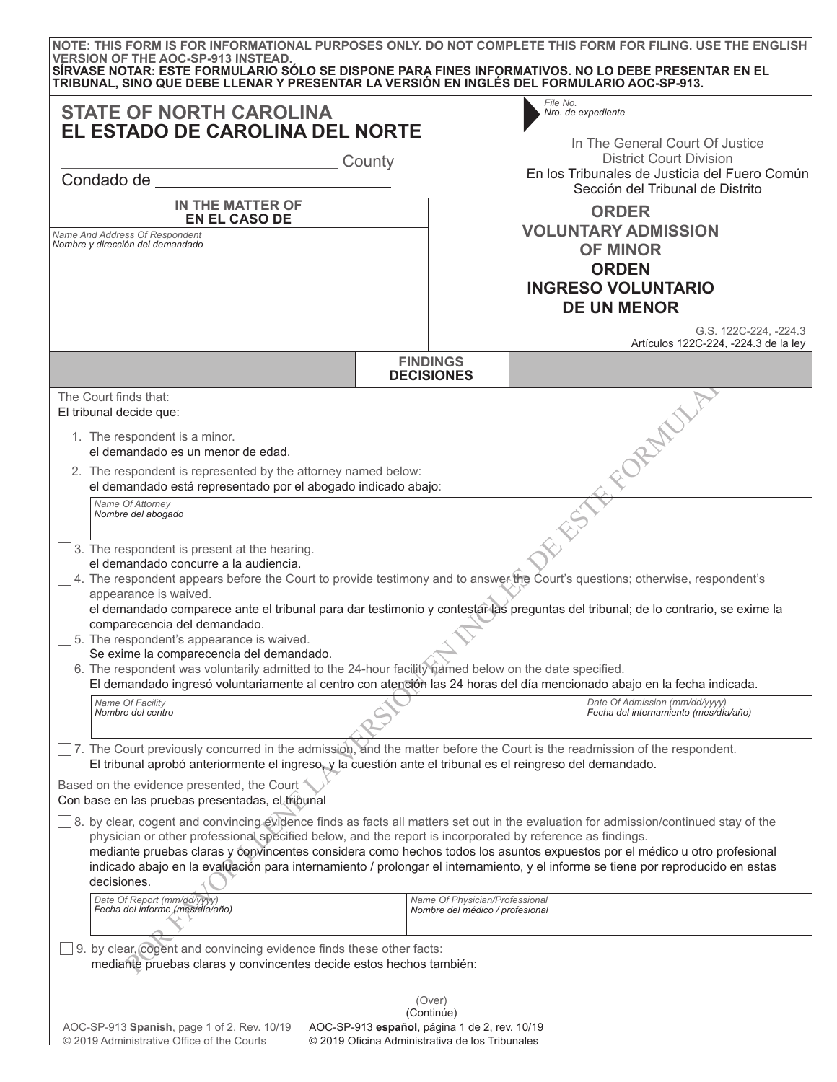| <b>STATE OF NORTH CAROLINA</b><br>EL ESTADO DE CAROLINA DEL NORTE<br>County<br>Condado de <b>Estado de Estado de Estado de Estado de Estado de Estado de Estado de Estado de Estado de Estado de Estado de Estado de Estado de Estado de Estado de Estado de Estado de Estado de Estado de Estado de Estado de </b>                                                                                                                                                                                                                                                                                                                                                                                                                                                                                                                                                                                                               |                                                                   | File No.<br>Nro. de expediente<br>In The General Court Of Justice<br><b>District Court Division</b><br>En los Tribunales de Justicia del Fuero Común<br>Sección del Tribunal de Distrito                                                                     |  |
|-----------------------------------------------------------------------------------------------------------------------------------------------------------------------------------------------------------------------------------------------------------------------------------------------------------------------------------------------------------------------------------------------------------------------------------------------------------------------------------------------------------------------------------------------------------------------------------------------------------------------------------------------------------------------------------------------------------------------------------------------------------------------------------------------------------------------------------------------------------------------------------------------------------------------------------|-------------------------------------------------------------------|--------------------------------------------------------------------------------------------------------------------------------------------------------------------------------------------------------------------------------------------------------------|--|
|                                                                                                                                                                                                                                                                                                                                                                                                                                                                                                                                                                                                                                                                                                                                                                                                                                                                                                                                   |                                                                   |                                                                                                                                                                                                                                                              |  |
| <b>EN EL CASO DE</b><br>Name And Address Of Respondent<br>Nombre y dirección del demandado                                                                                                                                                                                                                                                                                                                                                                                                                                                                                                                                                                                                                                                                                                                                                                                                                                        |                                                                   | <b>VOLUNTARY ADMISSION</b><br><b>OF MINOR</b><br><b>ORDEN</b><br><b>INGRESO VOLUNTARIO</b><br><b>DE UN MENOR</b>                                                                                                                                             |  |
|                                                                                                                                                                                                                                                                                                                                                                                                                                                                                                                                                                                                                                                                                                                                                                                                                                                                                                                                   |                                                                   | G.S. 122C-224, -224.3<br>Artículos 122C-224, -224.3 de la ley                                                                                                                                                                                                |  |
|                                                                                                                                                                                                                                                                                                                                                                                                                                                                                                                                                                                                                                                                                                                                                                                                                                                                                                                                   | <b>FINDINGS</b><br><b>DECISIONES</b>                              |                                                                                                                                                                                                                                                              |  |
| El tribunal decide que:<br>1. The respondent is a minor.<br>el demandado es un menor de edad.<br>2. The respondent is represented by the attorney named below:<br>el demandado está representado por el abogado indicado abajo:<br>Name Of Attorney<br>Nombre del abogado<br>3. The respondent is present at the hearing.<br>el demandado concurre a la audiencia.<br>4. The respondent appears before the Court to provide testimony and to answer the Court's questions; otherwise, respondent's<br>appearance is waived.<br>comparecencia del demandado.<br>5. The respondent's appearance is waived.<br>Se exime la comparecencia del demandado.<br>6. The respondent was voluntarily admitted to the 24-hour facility hamed below on the date specified.<br>El demandado ingresó voluntariamente al centro con atención las 24 horas del día mencionado abajo en la fecha indicada.<br>Name Of Facility<br>Nombre del centro |                                                                   | FORMALL<br>el demandado comparece ante el tribunal para dar testimonio y contestar las preguntas del tribunal; de lo contrario, se exime la<br>Date Of Admission (mm/dd/yyyy)<br>Fecha del internamiento (mes/día/año)                                       |  |
| 7. The Court previously concurred in the admission, and the matter before the Court is the readmission of the respondent.<br>El tribunal aprobó anteriormente el ingreso, y la cuestión ante el tribunal es el reingreso del demandado.<br>Based on the evidence presented, the Court<br>Con base en las pruebas presentadas, el tribunal<br>8. by clear, cogent and convincing evidence finds as facts all matters set out in the evaluation for admission/continued stay of the<br>physician or other professional specified below, and the report is incorporated by reference as findings.<br>decisiones.<br>Date Of Report (mm/dd/yyyy)<br>Fecha del informe (mes/día/año)                                                                                                                                                                                                                                                   | Name Of Physician/Professional<br>Nombre del médico / profesional | mediante pruebas claras y convincentes considera como hechos todos los asuntos expuestos por el médico u otro profesional<br>indicado abajo en la evaluación para internamiento / prolongar el internamiento, y el informe se tiene por reproducido en estas |  |
| 9. by clear, cogent and convincing evidence finds these other facts:<br>mediante pruebas claras y convincentes decide estos hechos también:                                                                                                                                                                                                                                                                                                                                                                                                                                                                                                                                                                                                                                                                                                                                                                                       |                                                                   |                                                                                                                                                                                                                                                              |  |

© 2019 Administrative Office of the Courts